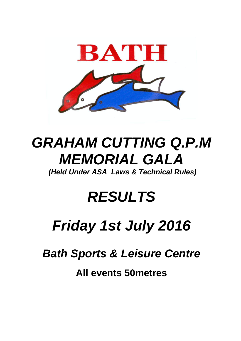

# **GRAHAM CUTTING Q.P.M MEMORIAL GALA**

**(Held Under ASA Laws & Technical Rules)**

### **RESULTS**

# **Friday 1st July 2016**

**Bath Sports & Leisure Centre**

**All events 50metres**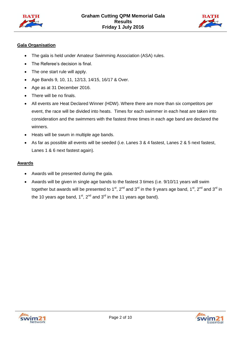



### **Gala Organisation**

- The gala is held under Amateur Swimming Association (ASA) rules.
- The Referee's decision is final.
- The one start rule will apply.
- Age Bands 9, 10, 11, 12/13, 14/15, 16/17 & Over.
- Age as at 31 December 2016.
- There will be no finals.
- All events are Heat Declared Winner (HDW). Where there are more than six competitors per event, the race will be divided into heats. Times for each swimmer in each heat are taken into consideration and the swimmers with the fastest three times in each age band are declared the winners.
- Heats will be swum in multiple age bands.
- As far as possible all events will be seeded (i.e. Lanes 3 & 4 fastest, Lanes 2 & 5 next fastest, Lanes 1 & 6 next fastest again).

### **Awards**

- Awards will be presented during the gala.
- Awards will be given in single age bands to the fastest 3 times (i.e. 9/10/11 years will swim together but awards will be presented to 1<sup>st</sup>, 2<sup>nd</sup> and 3<sup>rd</sup> in the 9 years age band, 1<sup>st</sup>, 2<sup>nd</sup> and 3<sup>rd</sup> in the 10 years age band,  $1^{st}$ ,  $2^{nd}$  and  $3^{rd}$  in the 11 years age band).



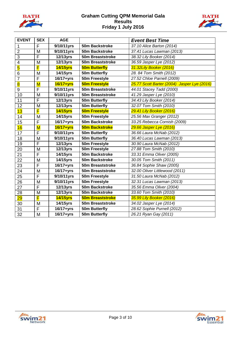



| <b>EVENT</b>            | <b>SEX</b>              | <b>AGE</b>              |                         | <b>Event Best Time</b>                      |
|-------------------------|-------------------------|-------------------------|-------------------------|---------------------------------------------|
| $\mathbf 1$             | F                       | 9/10/11yrs              | 50m Backstroke          | 37.10 Alice Barton (2014)                   |
| $\overline{2}$          | M                       | 9/10/11yrs              | 50m Backstroke          | 37.41 Lucas Lawman (2013)                   |
| $\overline{3}$          | F                       | <b>12/13yrs</b>         | 50m Breaststroke        | 38.32 Lily Booker (2014)                    |
| 4                       | M                       | 12/13yrs                | 50m Breaststroke        | 36.59 Jasper Lye (2012)                     |
| $\overline{\mathbf{5}}$ | F                       | <b>14/15yrs</b>         | <b>50m Butterfly</b>    | 31.32Lily Booker (2016)                     |
| $6\phantom{1}6$         | M                       | 14/15yrs                | 50m Butterfly           | 28. 84 Tom Smith (2012)                     |
| $\overline{7}$          | F                       | $16/17 + yrs$           | 50m Freestyle           | 27.52 Chloe Parnell (2009)                  |
| $\overline{\mathbf{8}}$ | $\overline{\mathsf{M}}$ | 16/17+yrs               | 50m Freestyle           | 25.77 Scott Barter (2004) Jasper Lye (2016) |
| 9                       | F                       | 9/10/11yrs              | 50m Breaststroke        | 44.01 Stacey Tadd (2000)                    |
| 10                      | M                       | 9/10/11yrs              | 50m Breaststroke        | 41.29 Jasper Lye (2010)                     |
| 11                      | F                       | 12/13yrs                | 50m Butterfly           | 34.43 Lily Booker (2014)                    |
| 12                      | M                       | 12/13yrs                | 50m Butterfly           | 32.07 Tom Smith (2010)                      |
| 13                      | F                       | <b>14/15yrs</b>         | 50m Freestyle           | 29.41 Lily Booker (2016)                    |
| 14                      | M                       | 14/15yrs                | 50m Freestyle           | 25.56 Max Granger (2012)                    |
| 15                      | F                       | $\overline{16/17}$ +yrs | 50m Backstroke          | 33.25 Rebecca Cornish (2009)                |
| 16                      | $\overline{\mathsf{M}}$ | 16/17+yrs               | <b>50m Backstroke</b>   | 29.66 Jasper Lye (2016)                     |
| 17                      | F                       | 9/10/11yrs              | 50m Butterfly           | 36.66 Laura McNab (2012)                    |
| 18                      | M                       | 9/10/11yrs              | 50m Butterfly           | 36.40 Lucas Lawman (2013)                   |
| 19                      | F                       | 12/13yrs                | 50m Freestyle           | 30.90 Laura McNab (2012)                    |
| 20                      | M                       | <b>12/13yrs</b>         | 50m Freestyle           | 27.88 Tom Smith (2010)                      |
| 21                      | F                       | 14/15yrs                | 50m Backstroke          | 33.31 Emma Oliver (2005)                    |
| 22                      | M                       | 14/15yrs                | 50m Backstroke          | 30.05 Tom Smith (2011)                      |
| 23                      | F                       | $16/17 + yrs$           | 50m Breaststroke        | 36.84 Sophie Shaw (2005)                    |
| 24                      | M                       | 16/17+yrs               | 50m Breaststroke        | 32.00 Oliver Littlewood (2011)              |
| 25                      | F                       | 9/10/11yrs              | 50m Freestyle           | 31.50 Laura McNab (2012)                    |
| 26                      | M                       | 9/10/11yrs              | 50m Freestyle           | 32.31 Lucas Lawman (2013)                   |
| 27                      | F                       | 12/13yrs                | 50m Backstroke          | 35.56 Emma Oliver (2004)                    |
| 28                      | M                       | 12/13yrs                | 50m Backstroke          | 33.60 Tom Smith (2010)                      |
| 29                      | F                       | <b>14/15yrs</b>         | <b>50m Breaststroke</b> | 35.99 Lily Booker (2016)                    |
| 30                      | M                       | 14/15yrs                | 50m Breaststroke        | 34.02 Jasper Lye (2014)                     |
| 31                      | F                       | $16/17+yrs$             | 50m Butterfly           | 28.62 Sophie Purnell (2012)                 |
| 32                      | M                       | 16/17+yrs               | 50m Butterfly           | 26.21 Ryan Gay (2011)                       |

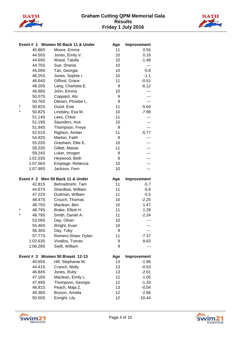



|          |                  | Event # 1 Women 50 Back 11 & Under    | Age      | Improvement         |
|----------|------------------|---------------------------------------|----------|---------------------|
|          | 40.86S           | Moore, Emma                           | 11       | 0.55                |
|          | 44.50S           | Jones, Emily V.                       | 10       | 0.16                |
|          | 44.69S           | Wood, Talulla                         | 10       | $-1.48$             |
|          | 44.75S           | Sue, Shania                           | 10       | $\overline{a}$      |
|          | 45.09S           | Tan, Georgia                          | 10       | $-5.6$              |
|          | 46.25S           | Jones, Sophie I.                      | 10       | $-1.1$              |
|          | 46.64S           | Gifford, Grace                        | 11       | $-0.51$             |
|          | 48.20S           | Lang, Charlotte E.                    | 9        | $-6.12$             |
|          | 49.88S           | John, Emma                            | 10       |                     |
|          | 50.07S           | Coppard, Abi                          | 9        |                     |
|          | 50.76S           | Olesen, Phoebe L.                     | 9        |                     |
| $\ast$   | 50.82S           | Good, Evie                            | 11       | $-5.04$             |
| $^\star$ | 50.82S           | Lindsley, Eva M.                      | 10       | $-7.99$             |
|          | 51.14S           | Lees, Chloe                           | 11       |                     |
|          | 51.19S           | Saunders, Ava                         | 10       |                     |
|          | 51.84S           | Thompson, Freya                       | 9        |                     |
|          | 52.01S           | Righton, Amber                        | 11       | $-5.77$             |
|          | 54.82S           | Marton, Faith                         | 9        |                     |
|          | 55.03S           | Gresham, Ellie E.                     | 10       |                     |
|          | 59.23S           | Gillett, Maisie                       | 11       |                     |
|          | 59.24S           | Luker, Imogen                         | 9        |                     |
|          | 1:01.03S         | Heywood, Beth                         | 8        |                     |
|          | 1:07.56S         | Emptage, Rebecca                      | 10       |                     |
|          | 1:07.99S         | Jackson, Fern                         | 10       | ---                 |
|          |                  |                                       |          |                     |
|          |                  |                                       |          |                     |
|          |                  | Event # 2 Men 50 Back 11 & Under      | Age      | Improvement         |
|          | 42.81S           | Behradmehr, Tam                       | 11       | $-5.7$              |
|          | 44.67S           | Shardlow, William                     | 11       | $-5.6$              |
|          | 47.22S           | Dudman, William                       | 11       | $-5.5$              |
|          | 48.47S           | Crouch, Thomas                        | 10       | $-2.25$             |
| $\ast$   | 48.75S           | Maclean, Ben                          | 10<br>11 | 1.47                |
| $\star$  | 48.79S           | Brake, Elliott H.                     | 11       | 1.29                |
|          | 48.79S           | Smith, Daniel A.                      |          | $-2.24$<br>---      |
|          | 53.09S           | Day, Oliver                           | 10       |                     |
|          | 55.46S<br>56.30S | Wright, Evan                          | 10<br>9  |                     |
|          | 57.77S           | Day, Toby                             | 11       | $-7.37$             |
|          | 1:02.63S         | Romero-Shaw, Dylan<br>Vivallos, Tomas | 9        | 8.63                |
|          | 1:06.28S         | Swift, William                        | 9        |                     |
|          |                  |                                       |          |                     |
|          |                  | Event # 3 Women 50 Breast 12-13       | Age      | Improvement         |
|          | 40.65S           | Hill, Stephanie M.                    | 13       | $-1.96$             |
|          | 44.41S           | Cranch, Molly                         | 13       | $-0.53$             |
|          | 46.84S           | Jones, Ruby                           | 13       | $-2.01$             |
|          | 47.16S           | Maclean, Emily L.                     | 12       | $-1.05$             |
|          | 47.49S           | Thompson, Georgia                     | 12       | $-1.33$             |
|          | 48.81S           | Peach, Maja Z.                        | 13       | $-0.04$             |
|          | 49.38S<br>50.50S | Bryson, Amelia<br>Enright, Lily       | 12<br>12 | $-2.66$<br>$-10.44$ |



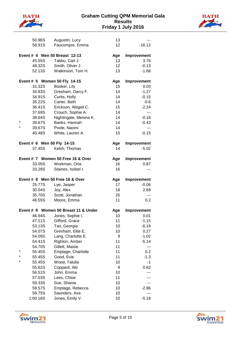



|                                              | 50.96S           | Augustin, Lucy                       | 13        |                        |  |  |
|----------------------------------------------|------------------|--------------------------------------|-----------|------------------------|--|--|
|                                              | 58.91S           | Faucompre, Emma                      | 12        | $-16.12$               |  |  |
| Event # 4 Men 50 Breast 12-13<br>Improvement |                  |                                      |           |                        |  |  |
|                                              |                  |                                      | Age       | 3.76                   |  |  |
|                                              | 45.55S           | Tabbu, Carl J.                       | 13        |                        |  |  |
|                                              | 48.32S           | Smith, Oliver J.                     | 12        | $-0.13$                |  |  |
|                                              | 52.13S           | Watkinson, Tom H.                    | 13        | $-1.68$                |  |  |
|                                              |                  | Event # 5 Women 50 Fly 14-15         | Age       | Improvement            |  |  |
|                                              | 31.32S           | Booker, Lily                         | 15        | 0.03                   |  |  |
|                                              | 34.83S           | Gresham, Darcy F.                    | 14        | $-1.27$                |  |  |
|                                              | 34.91S           | Curtis, Holly                        | 14        | $-0.15$                |  |  |
|                                              | 35.22S           | Carter, Beth                         | 14        | $-0.6$                 |  |  |
|                                              | 36.41S           | Erickson, Abigail C.                 | 15        | $-2.24$                |  |  |
|                                              | 37.69S           | Crouch, Sophie A.                    | 14        | $---$                  |  |  |
|                                              | 38.64S           | Nightingale, Menina K.               | 14        | $-0.16$                |  |  |
| $\star$                                      | 39.67S           | Banks, Hannah                        | 14        | $-0.43$                |  |  |
| $^\star$                                     | 39.67S           | Poole, Naomi                         | 14        | ---                    |  |  |
|                                              | 40.48S           | White, Lauren A.                     | 15        | $-0.15$                |  |  |
|                                              |                  |                                      |           |                        |  |  |
|                                              |                  | Event # 6 Men 50 Fly 14-15           | Age       | Improvement            |  |  |
|                                              | 37.45S           | Kelsh, Thomas                        | 14        | $-5.02$                |  |  |
|                                              |                  |                                      |           |                        |  |  |
|                                              |                  | Event # 7 Women 50 Free 16 & Over    | Age       | Improvement            |  |  |
|                                              | 33.05S           | Workman, Orla                        | 16        | 0.87                   |  |  |
|                                              | 33.28S           | Staines, Isobel I.                   | 16        | ---                    |  |  |
|                                              |                  | Event # 8 Men 50 Free 16 & Over      |           |                        |  |  |
|                                              | 25.77S           |                                      | Age<br>17 | Improvement<br>$-0.06$ |  |  |
|                                              | 30.04S           | Lye, Jasper                          | 18        | 2.69                   |  |  |
|                                              | 35.70S           | Joy, Alex                            | 25        |                        |  |  |
|                                              |                  | Scott, Jonathan                      | 11        | ---                    |  |  |
|                                              | 46.55S           | Moore, Emma                          |           | 0.2                    |  |  |
|                                              |                  | Event # 9 Women 50 Breast 11 & Under | Age       | Improvement            |  |  |
|                                              | 46.94S           | Jones, Sophie I.                     | 10        | 0.01                   |  |  |
|                                              | 47.11S           | Gifford, Grace                       | 11        | $-1.15$                |  |  |
|                                              |                  |                                      |           |                        |  |  |
|                                              | 53.13S           | Tan, Georgia                         | 10        | $-6.19$                |  |  |
|                                              | 54.07S           | Gresham, Ellie E.                    | 10        | 0.27                   |  |  |
|                                              | 54.09S           | Lang, Charlotte E.                   | 9         | $-1.02$                |  |  |
|                                              | 54.41S           | Righton, Amber                       | 11        | $-5.14$                |  |  |
|                                              | 54.70S           | Gillett, Maisie                      | 11        |                        |  |  |
| $\star$                                      | 55.45S           |                                      | 11        | 0.2                    |  |  |
|                                              | 55.45S           | Emptage, Charlotte<br>Good, Evie     | 11        | $-1.3$                 |  |  |
|                                              | 55.45S           |                                      | 10        | $-1$                   |  |  |
|                                              | 55.62S           | Wood, Talulla                        | 9         | 0.62                   |  |  |
|                                              | 56.51S           | Coppard, Abi<br>John, Emma           | 10        |                        |  |  |
|                                              |                  |                                      | 11        |                        |  |  |
|                                              | 57.03S           | Lees, Chloe                          | 10        |                        |  |  |
|                                              | 59.33S           | Sue, Shania                          | 10        | $-2.86$                |  |  |
|                                              | 59.57S<br>59.75S | Emptage, Rebecca<br>Saunders, Ava    | 10        | ---                    |  |  |
|                                              | 1:00.16S         | Jones, Emily V.                      | 10        | $-5.18$                |  |  |



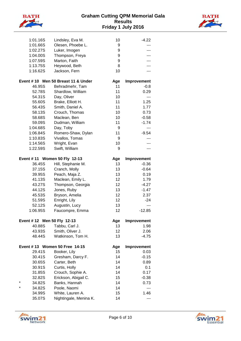



|         | 1:01.16S | Lindsley, Eva M.                   | 10  | $-4.22$     |
|---------|----------|------------------------------------|-----|-------------|
|         | 1:01.66S | Olesen, Phoebe L.                  | 9   |             |
|         | 1:02.27S | Luker, Imogen                      | 9   |             |
|         | 1:04.00S | Thompson, Freya                    | 9   |             |
|         | 1:07.59S | Marton, Faith                      | 9   |             |
|         | 1:13.75S | Heywood, Beth                      | 8   |             |
|         | 1:16.62S | Jackson, Fern                      | 10  | ---         |
|         |          |                                    |     |             |
|         |          | Event #10 Men 50 Breast 11 & Under | Age | Improvement |
|         | 46.95S   | Behradmehr, Tam                    | 11  | $-0.8$      |
|         | 52.78S   | Shardlow, William                  | 11  | 0.29        |
|         | 54.31S   | Day, Oliver                        | 10  | ---         |
|         | 55.60S   | Brake, Elliott H.                  | 11  | 1.25        |
|         | 56.43S   | Smith, Daniel A.                   | 11  | 1.77        |
|         | 58.13S   | Crouch, Thomas                     | 10  | 0.73        |
|         | 58.68S   | Maclean, Ben                       | 10  | $-0.58$     |
|         | 59.09S   | Dudman, William                    | 11  | $-1.74$     |
|         | 1:04.68S | Day, Toby                          | 9   | ---         |
|         | 1:06.84S | Romero-Shaw, Dylan                 | 11  | $-9.54$     |
|         | 1:10.83S | Vivallos, Tomas                    | 9   |             |
|         | 1:14.56S | Wright, Evan                       | 10  |             |
|         | 1:22.59S | Swift, William                     | 9   | ---         |
|         |          |                                    |     |             |
|         |          | Event #11 Women 50 Fly 12-13       | Age | Improvement |
|         | 36.45S   | Hill, Stephanie M.                 | 13  | $-0.36$     |
|         | 37.15S   | Cranch, Molly                      | 13  | $-0.64$     |
|         | 39.95S   | Peach, Maja Z.                     | 13  | 0.19        |
|         | 41.13S   | Maclean, Emily L.                  | 12  | 1.79        |
|         | 43.27S   | Thompson, Georgia                  | 12  | $-4.27$     |
|         | 44.12S   | Jones, Ruby                        | 13  | $-1.47$     |
|         | 45.53S   | Bryson, Amelia                     | 12  | 2.37        |
|         | 51.59S   | Enright, Lily                      | 12  | $-24$       |
|         | 52.12S   | Augustin, Lucy                     | 13  |             |
|         | 1:06.95S | Faucompre, Emma                    | 12  | $-12.85$    |
|         |          |                                    |     |             |
|         |          | Event # 12 Men 50 Fly 12-13        | Age | Improvement |
|         | 40.88S   | Tabbu, Carl J.                     | 13  | 1.98        |
|         | 43.93S   | Smith, Oliver J.                   | 12  | 2.06        |
|         | 48.44S   | Watkinson, Tom H.                  | 13  | $-4.75$     |
|         |          |                                    |     |             |
|         |          | Event #13 Women 50 Free 14-15      | Age | Improvement |
|         | 29.41S   | Booker, Lily                       | 15  | 0.03        |
|         | 30.41S   | Gresham, Darcy F.                  | 14  | $-0.15$     |
|         | 30.65S   | Carter, Beth                       | 14  | 0.89        |
|         | 30.91S   | Curtis, Holly                      | 14  | 0.1         |
|         | 31.85S   | Crouch, Sophie A.                  | 14  | 0.17        |
| $\star$ | 32.82S   | Erickson, Abigail C.               | 15  | $-0.38$     |
| $\star$ | 34.82S   | Banks, Hannah                      | 14  | 0.73        |
|         | 34.82S   | Poole, Naomi                       | 14  | ---         |
|         | 34.99S   | White, Lauren A.                   | 15  | 1.46        |
|         | 35.07S   | Nightingale, Menina K.             | 14  | ---         |



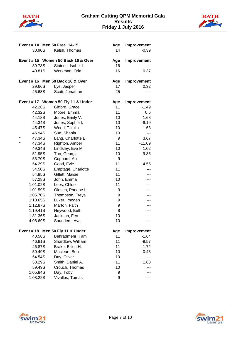



| Event #14 Men 50 Free 14-15 |                                   | Age | Improvement |
|-----------------------------|-----------------------------------|-----|-------------|
| 30.90S                      | Kelsh, Thomas                     | 14  | $-0.39$     |
|                             | Event #15 Women 50 Back 16 & Over | Age | Improvement |
| 39.73S                      | Staines, Isobel I.                | 16  |             |
| 40.81S                      | Workman, Orla                     | 16  | 0.37        |
|                             | Event #16 Men 50 Back 16 & Over   | Age | Improvement |
| 29.66S                      | Lye, Jasper                       | 17  | 0.32        |
| 45.63S                      | Scott, Jonathan                   | 25  | ---         |
|                             | Event #17 Women 50 Fly 11 & Under | Age | Improvement |
| 42.26S                      | Gifford, Grace                    | 11  | $-1.49$     |
| 42.32S                      | Moore, Emma                       | 11  | 0.6         |
| 44.18S                      | Jones, Emily V.                   | 10  | 1.68        |
| 44.34S                      | Jones, Sophie I.                  | 10  | $-9.19$     |
| 45.47S                      | Wood, Talulla                     | 10  | 1.63        |
| 46.94S                      | Sue, Shania                       | 10  | $---$       |
| $\star$<br>47.34S           | Lang, Charlotte E.                | 9   | 3.67        |
| $^\star$<br>47.34S          | Righton, Amber                    | 11  | $-11.09$    |
| 49.34S                      | Lindsley, Eva M.                  | 10  | 1.02        |
| 51.95S                      | Tan, Georgia                      | 10  | $-9.85$     |
| 53.70S                      | Coppard, Abi                      | 9   | ---         |
| 54.29S                      | Good, Evie                        | 11  | $-4.55$     |
| 54.50S                      | Emptage, Charlotte                | 11  |             |
| 54.85S                      | Gillett, Maisie                   | 11  |             |
| 57.28S                      | John, Emma                        | 10  |             |
| 1:01.02S                    | Lees, Chloe                       | 11  |             |
| 1:01.59S                    | Olesen, Phoebe L.                 | 9   |             |
| 1:05.70S                    | Thompson, Freya                   | 9   |             |
| 1:10.65S                    | Luker, Imogen                     | 9   |             |
| 1:12.87S                    | Marton, Faith                     | 9   |             |
| 1:19.41S                    | Heywood, Beth                     | 8   |             |
| 1:31.36S                    | Jackson, Fern                     | 10  |             |
| 4:08.69S                    | Saunders, Ava                     | 10  | ---         |
| <b>Event #18</b>            | Men 50 Fly 11 & Under             | Age | Improvement |
| 40.58S                      | Behradmehr, Tam                   | 11  | $-1.64$     |
| 46.81S                      | Shardlow, William                 | 11  | $-9.57$     |
| 46.87S                      | Brake, Elliott H.                 | 11  | $-1.72$     |
| 50.49S                      | Maclean, Ben                      | 10  | 0.43        |
| 54.54S                      | Day, Oliver                       | 10  |             |
| 58.29S                      | Smith, Daniel A.                  | 11  | 1.68        |
| 59.49S                      | Crouch, Thomas                    | 10  |             |
| 1:05.84S                    | Day, Toby                         | 9   |             |
| 1:08.22S                    | Vivallos, Tomas                   | 9   |             |



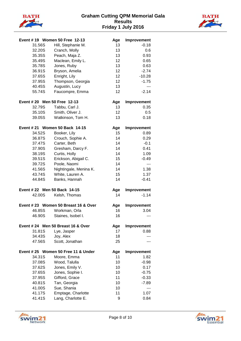



|                              | Event #19 Women 50 Free 12-13       | Age | Improvement       |
|------------------------------|-------------------------------------|-----|-------------------|
| 31.56S                       | Hill, Stephanie M.                  | 13  | $-0.18$           |
| 32.20S                       | Cranch, Molly                       | 13  | 0.6               |
| 35.35S                       | Peach, Maja Z.                      | 13  | 0.93              |
| 35.49S                       | Maclean, Emily L.                   | 12  | 0.65              |
| 35.78S                       | Jones, Ruby                         | 13  | 0.63              |
| 36.91S                       | Bryson, Amelia                      | 12  | $-2.74$           |
| 37.65S                       | Enright, Lily                       | 12  | $-10.28$          |
| 37.95S                       | Thompson, Georgia                   | 12  | $-1.75$           |
| 40.45S                       | Augustin, Lucy                      | 13  | $\qquad \qquad -$ |
| 55.74S                       | Faucompre, Emma                     | 12  | $-2.14$           |
| Event # 20 Men 50 Free 12-13 |                                     | Age | Improvement       |
| 32.79S                       | Tabbu, Carl J.                      | 13  | 0.35              |
| 35.10S                       | Smith, Oliver J.                    | 12  | 0.5               |
| 39.05S                       | Watkinson, Tom H.                   | 13  | 0.18              |
|                              | Event # 21 Women 50 Back 14-15      | Age | Improvement       |
| 34.52S                       | Booker, Lily                        | 15  | 0.89              |
| 36.87S                       | Crouch, Sophie A.                   | 14  | 0.29              |
| 37.47S                       | Carter, Beth                        | 14  | $-0.1$            |
| 37.90S                       | Gresham, Darcy F.                   | 14  | 0.41              |
| 38.19S                       | Curtis, Holly                       | 14  | 1.09              |
| 39.51S                       | Erickson, Abigail C.                | 15  | $-0.49$           |
| 39.72S                       | Poole, Naomi                        | 14  | $---$             |
| 41.56S                       | Nightingale, Menina K.              | 14  | 1.38              |
| 43.74S                       | White, Lauren A.                    | 15  | 1.37              |
| 44.84S                       | Banks, Hannah                       | 14  | $-0.41$           |
| Event # 22 Men 50 Back 14-15 |                                     | Age | Improvement       |
| 42.00S                       | Kelsh, Thomas                       | 14  | $-1.14$           |
|                              | Event #23 Women 50 Breast 16 & Over | Age | Improvement       |
| 46.85S                       | Workman, Orla                       | 16  | 3.04              |
| 46.90S                       | Staines, Isobel I.                  | 16  | ---               |
|                              | Event #24 Men 50 Breast 16 & Over   | Age | Improvement       |
| 31.81S                       | Lye, Jasper                         | 17  | 0.88              |
| 34.43S                       | Joy, Alex                           | 18  |                   |
| 47.56S                       | Scott, Jonathan                     | 25  |                   |
|                              | Event #25 Women 50 Free 11 & Under  | Age | Improvement       |
| 34.31S                       | Moore, Emma                         | 11  | 1.82              |
| 37.08S                       | Wood, Talulla                       | 10  | $-0.98$           |
| 37.62S                       | Jones, Emily V.                     | 10  | 0.17              |
| 37.65S                       | Jones, Sophie I.                    | 10  | $-0.75$           |
| 37.95S                       | Gifford, Grace                      | 11  | $-0.33$           |
| 40.81S                       | Tan, Georgia                        | 10  | $-7.89$           |
| 41.00S                       | Sue, Shania                         | 10  | ---               |
| 41.17S                       | Emptage, Charlotte                  | 11  | 1.07              |
| 41.41S                       | Lang, Charlotte E.                  | 9   | 0.84              |



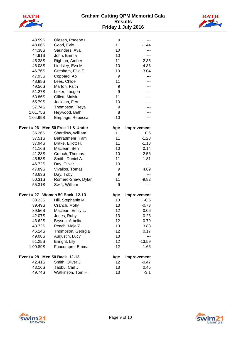



| 43.59S                       | Olesen, Phoebe L.                 | 9   | $---$       |
|------------------------------|-----------------------------------|-----|-------------|
| 43.66S                       | Good, Evie                        | 11  | $-1.44$     |
| 44.38S                       | Saunders, Ava                     | 10  |             |
| 44.91S                       | John, Emma                        | 10  | ---         |
| 45.38S                       | Righton, Amber                    | 11  | $-2.35$     |
| 46.08S                       | Lindsley, Eva M.                  | 10  | 4.33        |
| 46.76S                       | Gresham, Ellie E.                 | 10  | 3.04        |
| 47.93S                       | Coppard, Abi                      | 9   | ---         |
| 48.88S                       | Lees, Chloe                       | 11  | ---         |
| 49.56S                       | Marton, Faith                     | 9   |             |
| 51.27S                       | Luker, Imogen                     | 9   |             |
| 53.86S                       | Gillett, Maisie                   | 11  |             |
| 55.79S                       | Jackson, Fern                     | 10  |             |
| 57.74S                       | Thompson, Freya                   | 9   |             |
| 1:01.75S                     | Heywood, Beth                     | 8   |             |
| 1:04.99S                     | Emptage, Rebecca                  | 10  |             |
|                              | Event # 26 Men 50 Free 11 & Under | Age | Improvement |
| 36.26S                       | Shardlow, William                 | 11  | 0.6         |
| 37.51S                       | Behradmehr, Tam                   | 11  | $-1.28$     |
| 37.94S                       | Brake, Elliott H.                 | 11  | $-1.18$     |
| 41.16S                       | Maclean, Ben                      | 10  | 0.14        |
| 41.28S                       | Crouch, Thomas                    | 10  | $-2.56$     |
| 45.58S                       | Smith, Daniel A.                  | 11  | 1.81        |
| 46.72S                       | Day, Oliver                       | 10  | ---         |
| 47.89S                       | Vivallos, Tomas                   | 9   | 4.89        |
| 48.63S                       | Day, Toby                         | 9   | ---         |
| 50.31S                       | Romero-Shaw, Dylan                | 11  | $-9.82$     |
| 55.31S                       | Swift, William                    | 9   | ---         |
|                              | Event # 27 Women 50 Back 12-13    | Age | Improvement |
| 38.23S                       | Hill, Stephanie M.                | 13  | $-0.5$      |
| 39.49S                       | Cranch, Molly                     | 13  | $-0.73$     |
| 39.56S                       | Maclean, Emily L.                 | 12  | 0.06        |
| 42.07S                       | Jones, Ruby                       | 13  | 0.23        |
| 43.62S                       | Bryson, Amelia                    | 12  | $-0.79$     |
| 43.72S                       | Peach, Maja Z.                    | 13  | 3.83        |
| 46.14S                       | Thompson, Georgia                 | 12  | 0.17        |
| 49.08S                       | Augustin, Lucy                    | 13  | ---         |
| 51.25S                       | Enright, Lily                     | 12  | $-13.59$    |
| 1:09.89S                     | Faucompre, Emma                   | 12  | 1.66        |
| Event # 28 Men 50 Back 12-13 |                                   | Age | Improvement |
| 42.41S                       | Smith, Oliver J.                  | 12  | $-0.47$     |
| 43.16S                       | Tabbu, Carl J.                    | 13  | 0.45        |
| 49.74S                       | Watkinson, Tom H.                 | 13  | $-3.1$      |